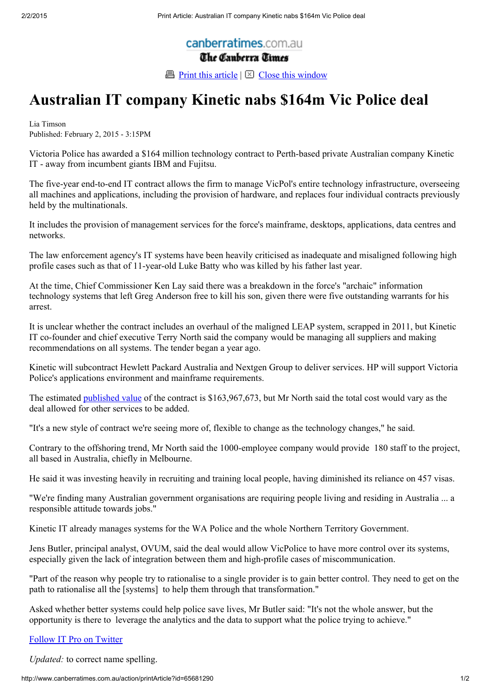canberratimes.com.au The Canberra Times

**Print this article**  $\boxtimes$  Close this window

## Australian IT company Kinetic nabs \$164m Vic Police deal

Lia Timson Published: February 2, 2015 - 3:15PM

Victoria Police has awarded a \$164 million technology contract to Perth-based private Australian company Kinetic IT - away from incumbent giants IBM and Fujitsu.

The five-year end-to-end IT contract allows the firm to manage VicPol's entire technology infrastructure, overseeing all machines and applications, including the provision of hardware, and replaces four individual contracts previously held by the multinationals.

It includes the provision of management services for the force's mainframe, desktops, applications, data centres and networks.

The law enforcement agency's IT systems have been heavily criticised as inadequate and misaligned following high profile cases such as that of 11-year-old Luke Batty who was killed by his father last year.

At the time, Chief Commissioner Ken Lay said there was a breakdown in the force's "archaic" information technology systems that left Greg Anderson free to kill his son, given there were five outstanding warrants for his arrest.

It is unclear whether the contract includes an overhaul of the maligned LEAP system, scrapped in 2011, but Kinetic IT co-founder and chief executive Terry North said the company would be managing all suppliers and making recommendations on all systems. The tender began a year ago.

Kinetic will subcontract Hewlett Packard Australia and Nextgen Group to deliver services. HP will support Victoria Police's applications environment and mainframe requirements.

The estimated published value of the contract is \$163,967,673, but Mr North said the total cost would vary as the deal allowed for other services to be added.

"It's a new style of contract we're seeing more of, flexible to change as the technology changes," he said.

Contrary to the offshoring trend, Mr North said the 1000-employee company would provide 180 staff to the project, all based in Australia, chiefly in Melbourne.

He said it was investing heavily in recruiting and training local people, having diminished its reliance on 457 visas.

"We're finding many Australian government organisations are requiring people living and residing in Australia ... a responsible attitude towards jobs."

Kinetic IT already manages systems for the WA Police and the whole Northern Territory Government.

Jens Butler, principal analyst, OVUM, said the deal would allow VicPolice to have more control over its systems, especially given the lack of integration between them and high-profile cases of miscommunication.

"Part of the reason why people try to rationalise to a single provider is to gain better control. They need to get on the path to rationalise all the [systems] to help them through that transformation."

Asked whether better systems could help police save lives, Mr Butler said: "It's not the whole answer, but the opportunity is there to leverage the analytics and the data to support what the police trying to achieve."

## Follow IT Pro on Twitter

Updated: to correct name spelling.